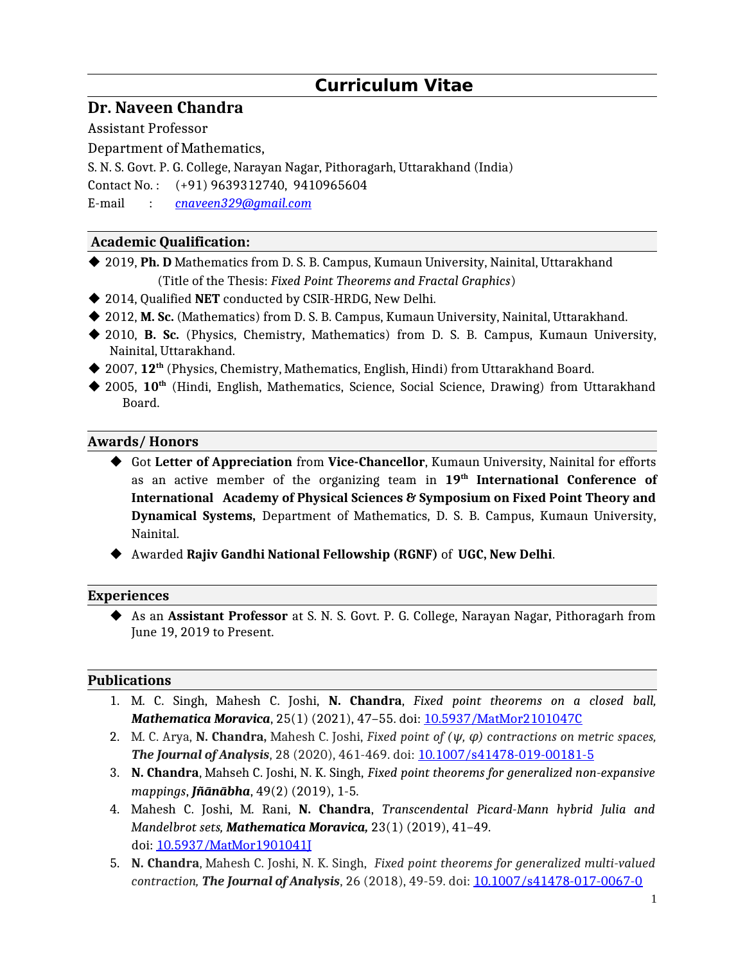# **Curriculum Vitae**

## **Dr. Naveen Chandra**

Assistant Professor

Department of Mathematics,

S. N. S. Govt. P. G. College, Narayan Nagar, Pithoragarh, Uttarakhand (India)

Contact No. : (+91) 9639312740, 9410965604

E-mail : *[c n](mailto:bhartijoshi20592@gmail.com)aveen329@gmail.com*

## **Academic Qualification:**

◆ 2019, **Ph. D** Mathematics from D. S. B. Campus, Kumaun University, Nainital, Uttarakhand (Title of the Thesis: *Fixed Point Theorems and Fractal Graphics*)

- 2014, Qualified **NET** conducted by CSIR-HRDG, New Delhi.
- ◆ 2012, M. Sc. (Mathematics) from D. S. B. Campus, Kumaun University, Nainital, Uttarakhand.
- 2010, **B. Sc.** (Physics, Chemistry, Mathematics) from D. S. B. Campus, Kumaun University, Nainital, Uttarakhand.
- ◆ 2007, 12<sup>th</sup> (Physics, Chemistry, Mathematics, English, Hindi) from Uttarakhand Board.
- ◆ 2005, 10<sup>th</sup> (Hindi, English, Mathematics, Science, Social Science, Drawing) from Uttarakhand Board.

## **Awards/ Honors**

- Got **Letter of Appreciation** from **Vice-Chancellor**, Kumaun University, Nainital for efforts as an active member of the organizing team in **19th International Conference of International Academy of Physical Sciences & Symposium on Fixed Point Theory and Dynamical Systems,** Department of Mathematics, D. S. B. Campus, Kumaun University, Nainital.
- Awarded **Rajiv Gandhi National Fellowship (RGNF)** of **UGC, New Delhi**.

#### **Experiences**

 As an **Assistant Professor** at S. N. S. Govt. P. G. College, Narayan Nagar, Pithoragarh from June 19, 2019 to Present.

#### **Publications**

- 1. M. C. Singh, Mahesh C. Joshi, **N. Chandra**, *Fixed point theorems on a closed ball, Mathematica Moravica*, 25(1) (2021), 47–55. doi: [10.5937/MatMor2101047C](http://10.5937/MatMor2101047C)
- 2. M. C. Arya, **N. Chandra**, Mahesh C. Joshi, *Fixed point of*  $(\psi, \varphi)$  contractions on metric spaces, *The Journal of Analysis*, 28 (2020), 461-469. doi: [10.1007/s41478-019-00181-5](http://10.1007/s41478-019-00181-5)
- 3. **N. Chandra**, Mahseh C. Joshi, N. K. Singh, *Fixed point theorems for generalized non-expansive mappings*, *Jñānābha*, 49(2) (2019), 1-5.
- 4. Mahesh C. Joshi, M. Rani, **N. Chandra**, *Transcendental Picard-Mann hybrid Julia and Mandelbrot sets, Mathematica Moravica,* 23(1) (2019), 41–49. doi: [10.5937/MatMor1901041J](http://10.5937/MatMor1901041J)
- 5. **N. Chandra**, Mahesh C. Joshi, N. K. Singh, *Fixed point theorems for generalized multi-valued contraction, The Journal of Analysis*, 26 (2018), 49-59. doi: [10.1007/s41478-017-0067-0](http://10.1007/s41478-017-0067-0)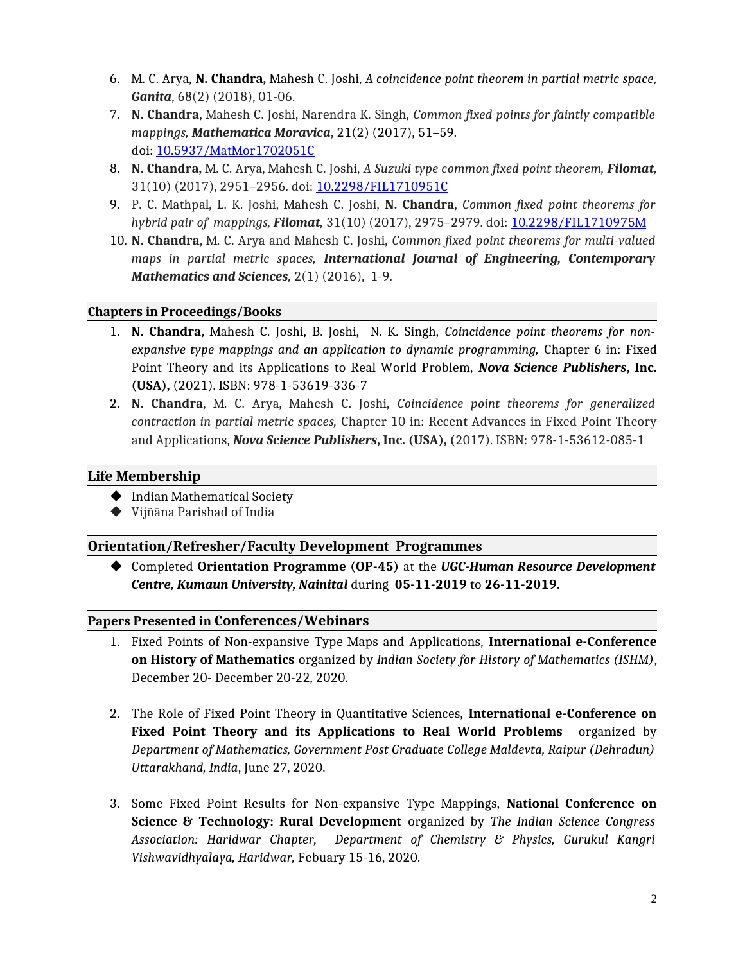- 6. M. C. Arya, **N. Chandra,** Mahesh C. Joshi, *A coincidence point theorem in partial metric space, Ganita*, 68(2) (2018), 01-06.
- 7. **N. Chandra**, Mahesh C. Joshi, Narendra K. Singh, *Common fixed points for faintly compatible mappings, Mathematica Moravica***,** 21(2) (2017), 51–59. doi: [10.5937/MatMor1702051C](http://dx.doi.org/10.5937/MatMor1702051C)
- 8. **N. Chandra,** M. C. Arya, Mahesh C. Joshi, *A Suzuki type common fixed point theorem, Filomat,* 31(10) (2017), 2951–2956. doi: [10.2298/FIL1710951C](http://10.2298/FIL1710951C)
- 9. P. C. Mathpal, L. K. Joshi, Mahesh C. Joshi, **N. Chandra**, *Common fixed point theorems for hybrid pair of mappings, Filomat,* 31(10) (2017), 2975–2979. doi: [10.2298/FIL1710975M](http://10.2298/FIL1710975M)
- 10. **N. Chandra**, M. C. Arya and Mahesh C. Joshi, *Common fixed point theorems for multi-valued maps in partial metric spaces, International Journal of Engineering, Contemporary Mathematics and Sciences,* 2(1) (2016), 1-9.

#### **Chapters in Proceedings/Books**

- 1. **N. Chandra,** Mahesh C. Joshi, B. Joshi, N. K. Singh, *Coincidence point theorems for nonexpansive type mappings and an application to dynamic programming,* Chapter 6 in: Fixed Point Theory and its Applications to Real World Problem, *Nova Science Publishers***, Inc. (USA),** (2021). ISBN: 978-1-53619-336-7
- 2. **N. Chandra**, M. C. Arya, Mahesh C. Joshi, *Coincidence point theorems for generalized contraction in partial metric spaces,* Chapter 10 in: Recent Advances in Fixed Point Theory and Applications, *Nova Science Publishers***, Inc. (USA), (**2017). ISBN: 978-1-53612-085-1

#### **Life Membership**

- ◆ Indian Mathematical Society
- Vijñāna Parishad of India

#### **Orientation/Refresher/Faculty Development Programmes**

 Completed **Orientation Programme (OP-45)** at the *UGC-Human Resource Development Centre, Kumaun University, Nainital* during **05-11-2019** to **26-11-2019.**

#### **Papers Presented in Conferences/Webinars**

- 1. Fixed Points of Non-expansive Type Maps and Applications, **International e-Conference on History of Mathematics** organized by *Indian Society for History of Mathematics (ISHM)*, December 20- December 20-22, 2020.
- 2. The Role of Fixed Point Theory in Quantitative Sciences, **International e-Conference on Fixed Point Theory and its Applications to Real World Problems** organized by *Department of Mathematics, Government Post Graduate College Maldevta, Raipur (Dehradun) Uttarakhand, India*, June 27, 2020.
- 3. Some Fixed Point Results for Non-expansive Type Mappings, **National Conference on Science & Technology: Rural Development** organized by *The Indian Science Congress Association: Haridwar Chapter, Department of Chemistry & Physics, Gurukul Kangri Vishwavidhyalaya, Haridwar,* Febuary 15-16, 2020.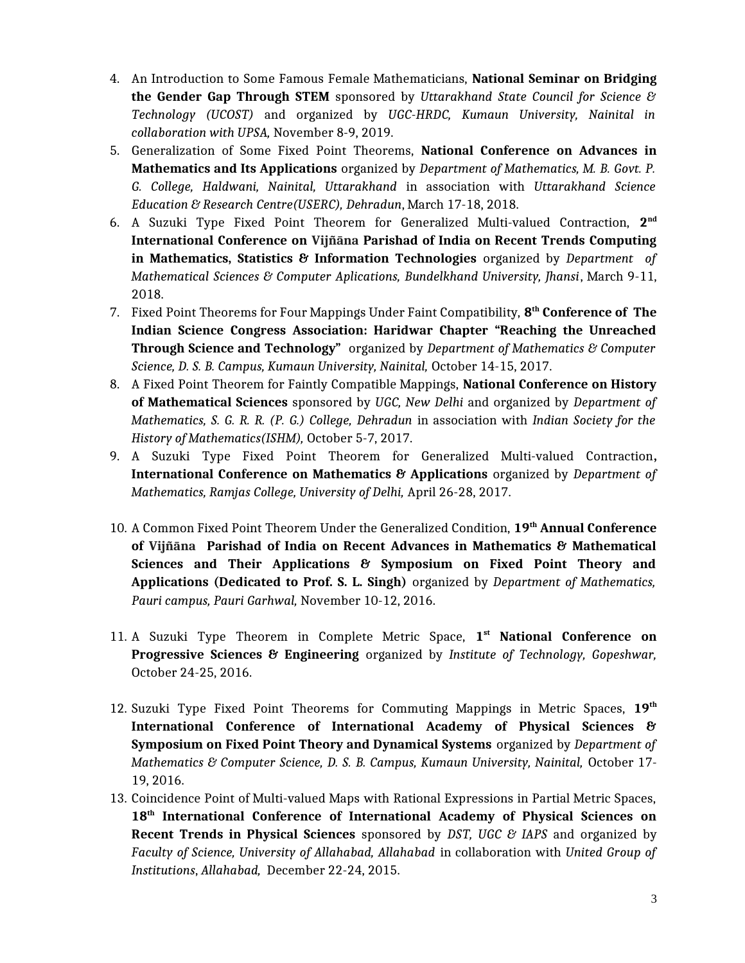- 4. An Introduction to Some Famous Female Mathematicians, **National Seminar on Bridging the Gender Gap Through STEM** sponsored by *Uttarakhand State Council for Science & Technology (UCOST)* and organized by *UGC-HRDC, Kumaun University, Nainital in collaboration with UPSA,* November 8-9, 2019.
- 5. Generalization of Some Fixed Point Theorems, **National Conference on Advances in Mathematics and Its Applications** organized by *Department of Mathematics, M. B. Govt. P. G. College, Haldwani, Nainital, Uttarakhand* in association with *Uttarakhand Science Education & Research Centre(USERC), Dehradun*, March 17-18, 2018.
- 6. A Suzuki Type Fixed Point Theorem for Generalized Multi-valued Contraction, **2 nd International Conference on Vijñāna Parishad of India on Recent Trends Computing in Mathematics, Statistics & Information Technologies** organized by *Department of Mathematical Sciences & Computer Aplications, Bundelkhand University, Jhansi*, March 9-11, 2018.
- 7. Fixed Point Theorems for Four Mappings Under Faint Compatibility, **8 th Conference of The Indian Science Congress Association: Haridwar Chapter "Reaching the Unreached Through Science and Technology"** organized by *Department of Mathematics & Computer Science, D. S. B. Campus, Kumaun University, Nainital,* October 14-15, 2017.
- 8. A Fixed Point Theorem for Faintly Compatible Mappings, **National Conference on History of Mathematical Sciences** sponsored by *UGC, New Delhi* and organized by *Department of Mathematics, S. G. R. R. (P. G.) College, Dehradun* in association with *Indian Society for the History of Mathematics(ISHM),* October 5-7, 2017.
- 9. A Suzuki Type Fixed Point Theorem for Generalized Multi-valued Contraction**, International Conference on Mathematics & Applications** organized by *Department of Mathematics, Ramjas College, University of Delhi,* April 26-28, 2017.
- 10. A Common Fixed Point Theorem Under the Generalized Condition, **19th Annual Conference of Vijñāna Parishad of India on Recent Advances in Mathematics & Mathematical Sciences and Their Applications & Symposium on Fixed Point Theory and Applications (Dedicated to Prof. S. L. Singh)** organized by *Department of Mathematics, Pauri campus, Pauri Garhwal,* November 10-12, 2016.
- 11. A Suzuki Type Theorem in Complete Metric Space, **1 st National Conference on Progressive Sciences & Engineering** organized by *Institute of Technology, Gopeshwar,* October 24-25, 2016.
- 12. Suzuki Type Fixed Point Theorems for Commuting Mappings in Metric Spaces, **19th International Conference of International Academy of Physical Sciences & Symposium on Fixed Point Theory and Dynamical Systems** organized by *Department of Mathematics & Computer Science, D. S. B. Campus, Kumaun University, Nainital,* October 17- 19, 2016.
- 13. Coincidence Point of Multi-valued Maps with Rational Expressions in Partial Metric Spaces, **18th International Conference of International Academy of Physical Sciences on Recent Trends in Physical Sciences** sponsored by *DST, UGC & IAPS* and organized by *Faculty of Science, University of Allahabad, Allahabad* in collaboration with *United Group of Institutions*, *Allahabad,* December 22-24, 2015.